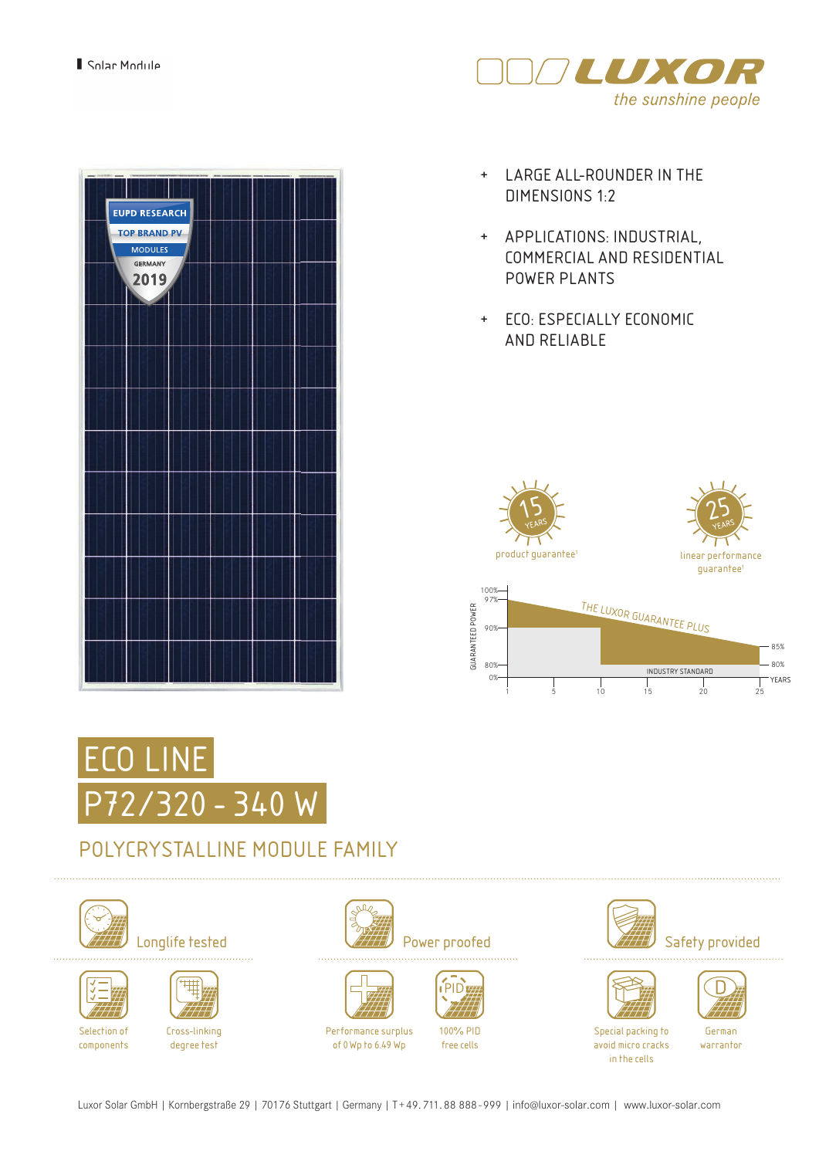

| <b>EUPD RESEARCH</b><br><b>TOP BRAND PV</b>            |  |  |
|--------------------------------------------------------|--|--|
| <b>MODULES</b><br><b>GERMANY</b><br>2019<br>$\sqrt{1}$ |  |  |
|                                                        |  |  |
|                                                        |  |  |
|                                                        |  |  |
|                                                        |  |  |
|                                                        |  |  |
|                                                        |  |  |
|                                                        |  |  |
|                                                        |  |  |
|                                                        |  |  |

- + LARGE ALL-ROUNDER IN THE DIMENSIONS 1:2
- + APPLICATIONS: INDUSTRIAL, COMMERCIAL AND RESIDENTIAL POWER PLANTS
- + ECO: ESPECIALLY ECONOMIC AND RELIABLE



1 5 10 15 20 25



## POLYCRYSTALLINE MODULE FAMILY





components



degree test













100% PID free cells







Special packing to avoid micro cracks in the cells

German warrantor

Luxor Solar GmbH | Kornbergstraße 29 | 70176 Stuttgart | Germany | T+49.711.88 888-999 | info@luxor-solar.com | www.luxor-solar.com